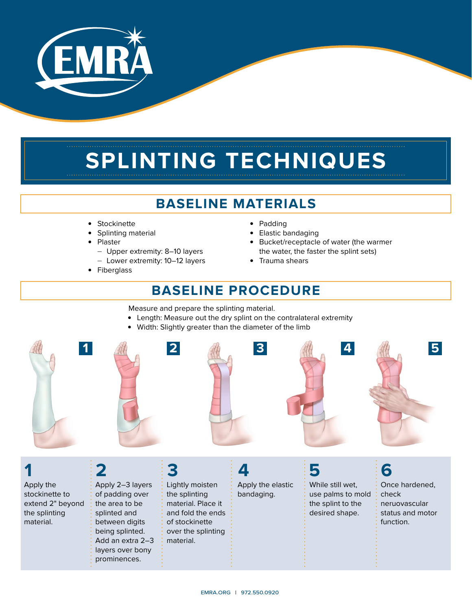

# **SPLINTING TECHNIQUES**

### **BASELINE MATERIALS**

- Stockinette
- Splinting material
- Plaster
	- Upper extremity: 8–10 layers
	- Lower extremity: 10–12 layers
- Fiberglass
- Padding
- **Elastic bandaging**
- Bucket/receptacle of water (the warmer the water, the faster the splint sets)
- Trauma shears

### **BASELINE PROCEDURE**

Measure and prepare the splinting material.

- Length: Measure out the dry splint on the contralateral extremity
- Width: Slightly greater than the diameter of the limb



### **1**

Apply the stockinette to extend 2" beyond the splinting material.

Apply 2–3 layers of padding over the area to be splinted and between digits being splinted. Add an extra 2–3 layers over bony prominences.

Lightly moisten the splinting material. Place it and fold the ends of stockinette over the splinting material.

Apply the elastic bandaging.

While still wet, use palms to mold the splint to the

desired shape.

Once hardened, check neruovascular status and motor function.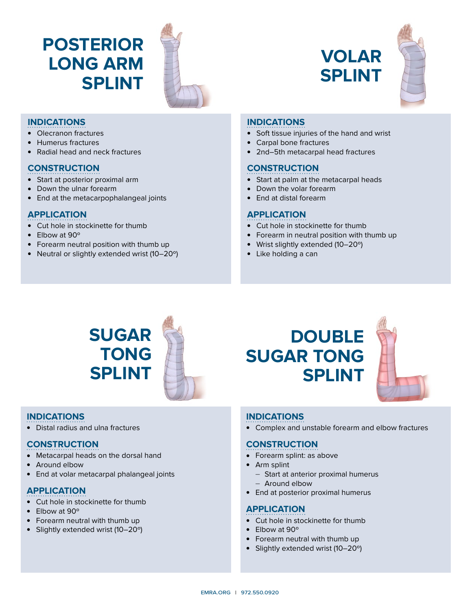## **POSTERIOR LONG ARM SPLINT**



### **INDICATIONS**

- Olecranon fractures
- Humerus fractures
- Radial head and neck fractures

### **CONSTRUCTION**

- Start at posterior proximal arm
- Down the ulnar forearm
- End at the metacarpophalangeal joints

### **APPLICATION**

- Cut hole in stockinette for thumb
- $\bullet$  Elbow at 90 $\circ$
- Forearm neutral position with thumb up
- Neutral or slightly extended wrist (10–20°)

## **VOLAR SPLINT**



#### **INDICATIONS**

- Soft tissue injuries of the hand and wrist
- Carpal bone fractures
- 2nd–5th metacarpal head fractures

### **CONSTRUCTION**

- Start at palm at the metacarpal heads
- Down the volar forearm
- $\bullet$  Fnd at distal forearm

### **APPLICATION**

- Cut hole in stockinette for thumb
- Forearm in neutral position with thumb up
- Wrist slightly extended (10–20°)
- Like holding a can

## **SUGAR TONG SPLINT**

### **INDICATIONS**

• Distal radius and ulna fractures

### **CONSTRUCTION**

- Metacarpal heads on the dorsal hand
- Around elbow
- End at volar metacarpal phalangeal joints

### **APPLICATION**

- Cut hole in stockinette for thumb
- $\bullet$  Flbow at 90 $\circ$
- Forearm neutral with thumb up
- Slightly extended wrist (10–20°)

## **DOUBLE SUGAR TONG SPLINT**



### **INDICATIONS**

• Complex and unstable forearm and elbow fractures

### **CONSTRUCTION**

- Forearm splint: as above
- $\bullet$  Arm splint
	- Start at anterior proximal humerus

### — Around elbow

• End at posterior proximal humerus

### **APPLICATION**

- Cut hole in stockinette for thumb
- $\bullet$  Elbow at 90 $\circ$
- Forearm neutral with thumb up
- Slightly extended wrist  $(10-20°)$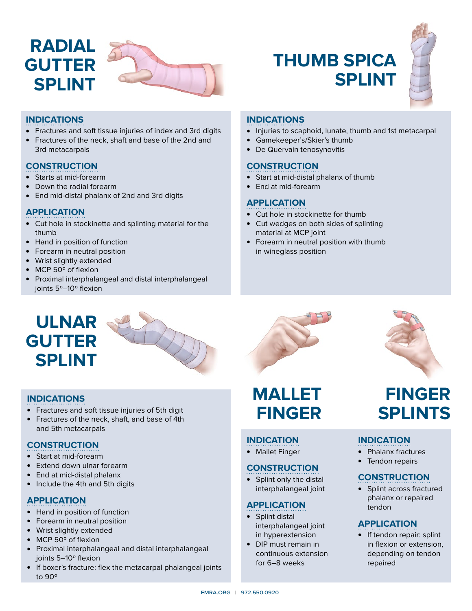

## **THUMB SPICA SPLINT**



### **INDICATIONS**

- Fractures and soft tissue injuries of index and 3rd digits
- Fractures of the neck, shaft and base of the 2nd and 3rd metacarpals

### **CONSTRUCTION**

- Starts at mid-forearm
- Down the radial forearm
- End mid-distal phalanx of 2nd and 3rd digits

### **APPLICATION**

- Cut hole in stockinette and splinting material for the thumb
- Hand in position of function
- Forearm in neutral position
- Wrist slightly extended
- MCP 50° of flexion
- Proximal interphalangeal and distal interphalangeal joints 5º–10º flexion

### **INDICATIONS**

- Injuries to scaphoid, lunate, thumb and 1st metacarpal
- <sup>l</sup> Gamekeeper's/Skier's thumb
- De Quervain tenosynovitis

#### **CONSTRUCTION**

- Start at mid-distal phalanx of thumb
- End at mid-forearm

### **APPLICATION**

- Cut hole in stockinette for thumb
- Cut wedges on both sides of splinting material at MCP joint
- Forearm in neutral position with thumb in wineglass position

### **ULNAR GUTTER SPLINT**

### **INDICATIONS**

- Fractures and soft tissue injuries of 5th digit
- Fractures of the neck, shaft, and base of 4th and 5th metacarpals

### **CONSTRUCTION**

- Start at mid-forearm
- Extend down ulnar forearm
- End at mid-distal phalanx
- Include the 4th and 5th digits

### **APPLICATION**

- Hand in position of function
- Forearm in neutral position
- Wrist slightly extended
- MCP 50° of flexion
- Proximal interphalangeal and distal interphalangeal joints 5–10º flexion
- If boxer's fracture: flex the metacarpal phalangeal joints to 90º

### **MALLET FINGER**

### **INDICATION**

• Mallet Finger

### **CONSTRUCTION**

• Splint only the distal interphalangeal joint

### **APPLICATION**

- $\bullet$  Splint distal interphalangeal joint in hyperextension
- DIP must remain in continuous extension for 6–8 weeks



### **FINGER SPLINTS**

#### **INDICATION**

- Phalanx fractures
- Tendon repairs

#### **CONSTRUCTION**

• Splint across fractured phalanx or repaired tendon

### **APPLICATION**

• If tendon repair: splint in flexion or extension, depending on tendon repaired